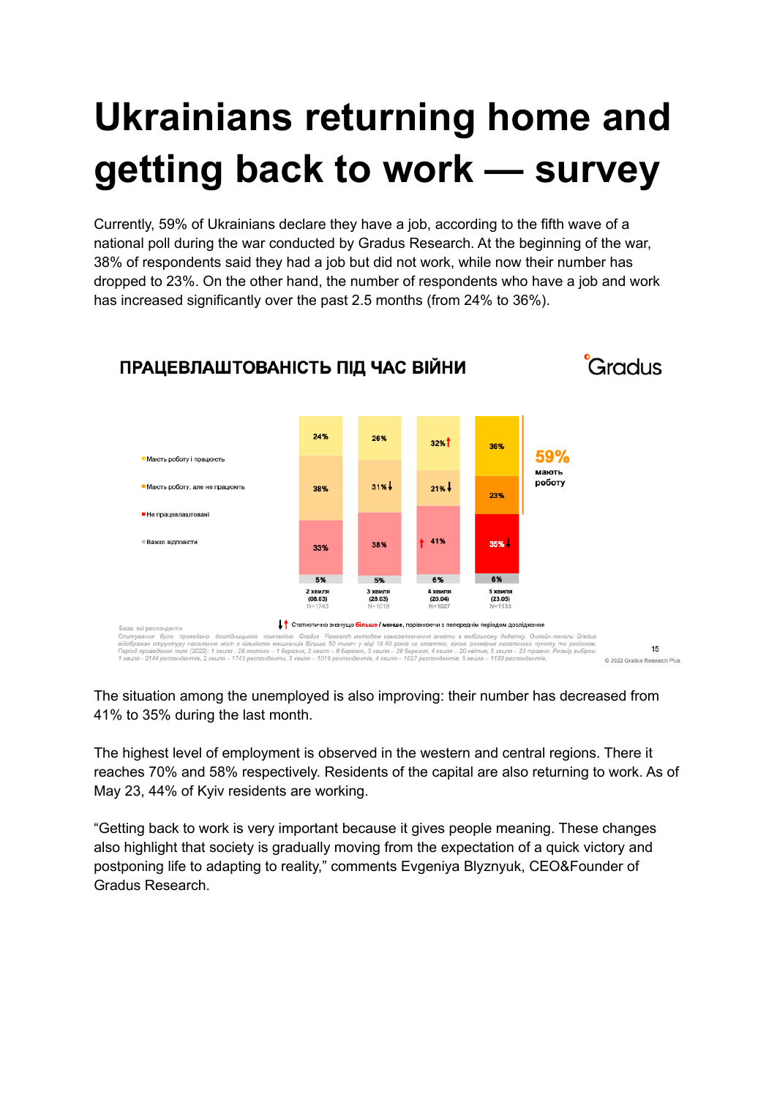## **Ukrainians returning home and getting back to work — survey**

Currently, 59% of Ukrainians declare they have a job, according to the fifth wave of a national poll during the war conducted by Gradus Research. At the beginning of the war, 38% of respondents said they had a job but did not work, while now their number has dropped to 23%. On the other hand, the number of respondents who have a job and work has increased significantly over the past 2.5 months (from 24% to 36%).



The situation among the unemployed is also improving: their number has decreased from 41% to 35% during the last month.

The highest level of employment is observed in the western and central regions. There it reaches 70% and 58% respectively. Residents of the capital are also returning to work. As of May 23, 44% of Kyiv residents are working.

"Getting back to work is very important because it gives people meaning. These changes also highlight that society is gradually moving from the expectation of a quick victory and postponing life to adapting to reality," comments Evgeniya Blyznyuk, CEO&Founder of Gradus Research.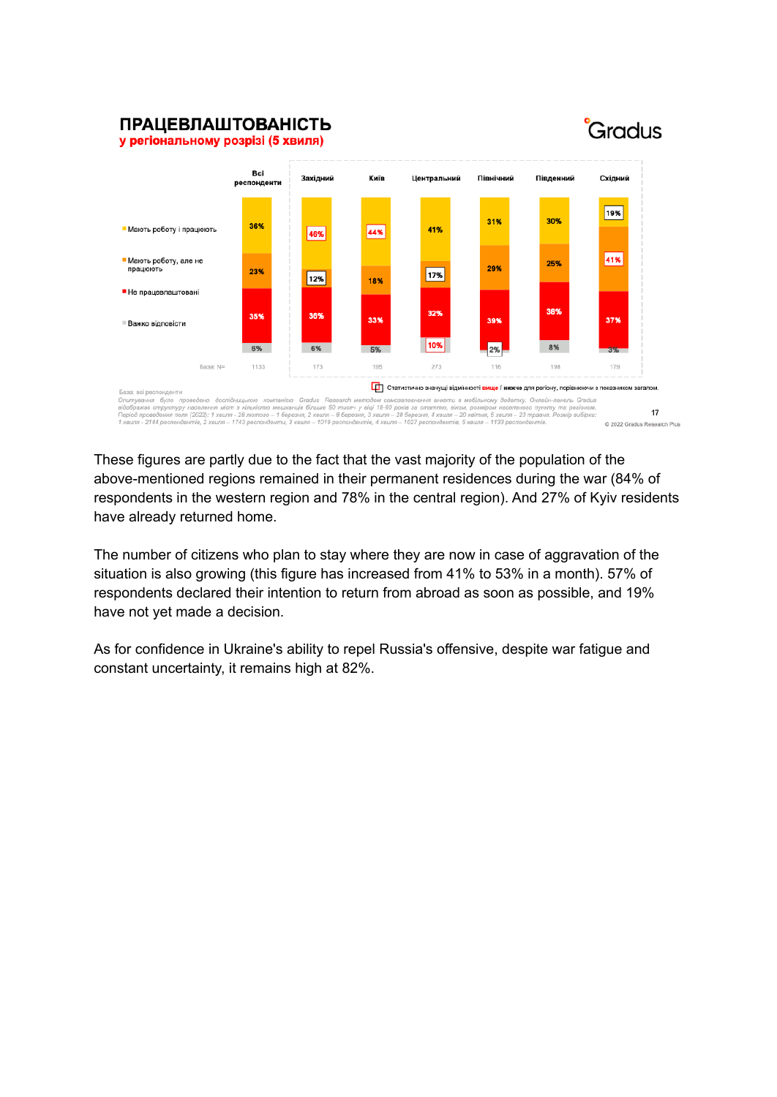## **ПРАЦЕВЛАШТОВАНІСТЬ**







These figures are partly due to the fact that the vast majority of the population of the above-mentioned regions remained in their permanent residences during the war (84% of respondents in the western region and 78% in the central region). And 27% of Kyiv residents have already returned home.

The number of citizens who plan to stay where they are now in case of aggravation of the situation is also growing (this figure has increased from 41% to 53% in a month). 57% of respondents declared their intention to return from abroad as soon as possible, and 19% have not yet made a decision.

As for confidence in Ukraine's ability to repel Russia's offensive, despite war fatigue and constant uncertainty, it remains high at 82%.